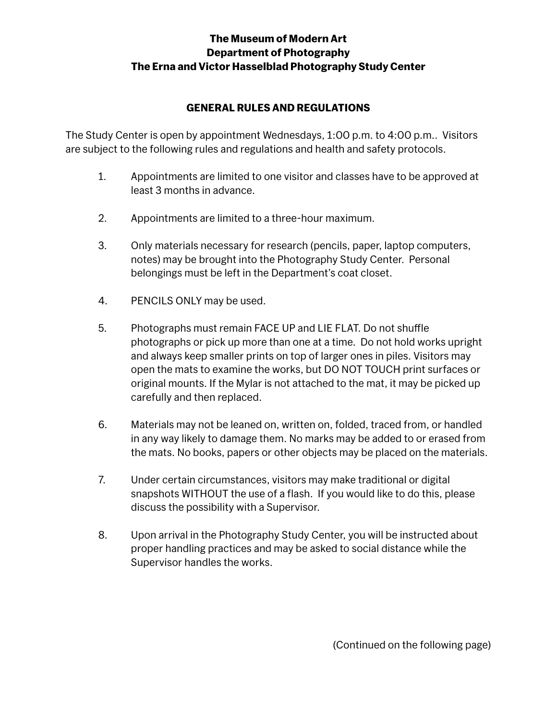## **The Museum of Modern Art Department of Photography The Erna and Victor Hasselblad Photography Study Center**

## **GENERAL RULES AND REGULATIONS**

The Study Center is open by appointment Wednesdays, 1:00 p.m. to 4:00 p.m.. Visitors are subject to the following rules and regulations and health and safety protocols.

- 1. Appointments are limited to one visitor and classes have to be approved at least 3 months in advance.
- 2. Appointments are limited to a three-hour maximum.
- 3. Only materials necessary for research (pencils, paper, laptop computers, notes) may be brought into the Photography Study Center. Personal belongings must be left in the Department's coat closet.
- 4. PENCILS ONLY may be used.
- 5. Photographs must remain FACE UP and LIE FLAT. Do not shuffle photographs or pick up more than one at a time. Do not hold works upright and always keep smaller prints on top of larger ones in piles. Visitors may open the mats to examine the works, but DO NOT TOUCH print surfaces or original mounts. If the Mylar is not attached to the mat, it may be picked up carefully and then replaced.
- 6. Materials may not be leaned on, written on, folded, traced from, or handled in any way likely to damage them. No marks may be added to or erased from the mats. No books, papers or other objects may be placed on the materials.
- 7. Under certain circumstances, visitors may make traditional or digital snapshots WITHOUT the use of a flash. If you would like to do this, please discuss the possibility with a Supervisor.
- 8. Upon arrival in the Photography Study Center, you will be instructed about proper handling practices and may be asked to social distance while the Supervisor handles the works.